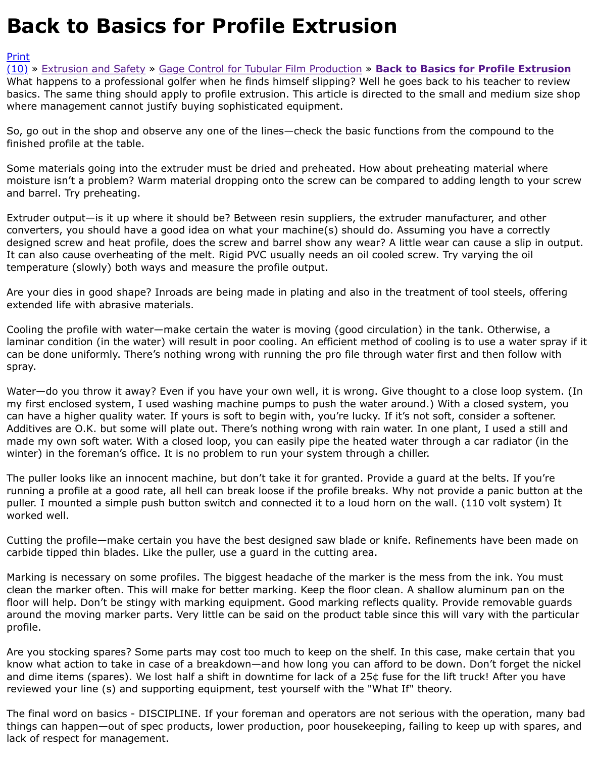where management cannot justify buying sophisticated equipment.

So, go out in the shop and observe any one of the lines—check the basic functions from the compou finished profile at the table.

[Som](http://extrusionwiki.com/wiki/CC%20V13-2-C.ashx#)[e](http://extrusionwiki.com/wiki/Print.aspx?Page=CC%20V13-2-C) [materials going into th](http://extrusionwiki.com/wiki/CC%20V13-2-A.ashx)e [extruder must be dried and preheated. H](http://extrusionwiki.com/wiki/CC%20V13-2-B.ashx)ow about preheating materi moisture isn't a problem? Warm material dropping onto the screw can be compared to adding lengt and barrel. Try preheating.

Extruder output—is it up where it should be? Between resin suppliers, the extruder manufacturer, and Extruder converters, you should have a good idea on what your machine(s) should do. Assuming you have a designed screw and heat profile, does the screw and barrel show any wear? A little wear can cause It can also cause overheating of the melt. Rigid PVC usually needs an oil cooled screw. Try varying t temperature (slowly) both ways and measure the profile output.

Are your dies in good shape? Inroads are being made in plating and also in the treatment of tool ste extended life with abrasive materials.

Cooling the profile with water—make certain the water is moving (good circulation) in the tank. Oth laminar condition (in the water) will result in poor cooling. An efficient method of cooling is to use a can be done uniformly. There's nothing wrong with running the pro file through water first and then spray.

Water—do you throw it away? Even if you have your own well, it is wrong. Give thought to a close lo my first enclosed system, I used washing machine pumps to push the water around.) With a closed can have a higher quality water. If yours is soft to begin with, you're lucky. If it's not soft, consider a Additives are O.K. but some will plate out. There's nothing wrong with rain water. In one plant, I use made my own soft water. With a closed loop, you can easily pipe the heated water through a car rad winter) in the foreman's office. It is no problem to run your system through a chiller.

The puller looks like an innocent machine, but don't take it for granted. Provide a guard at the belts running a profile at a good rate, all hell can break loose if the profile breaks. Why not provide a pan puller. I mounted a simple push button switch and connected it to a loud horn on the wall. (110 volt worked well.

Cutting the profile—make certain you have the best designed saw blade or knife. Refinements have carbide tipped thin blades. Like the puller, use a guard in the cutting area.

Marking is necessary on some profiles. The biggest headache of the marker is the mess from the in clean the marker often. This will make for better marking. Keep the floor clean. A shallow aluminum floor will help. Don't be stingy with marking equipment. Good marking reflects quality. Provide remo around the moving marker parts. Very little can be said on the product table since this will vary with profile.

Are you stocking spares? Some parts may cost too much to keep on the shelf. In this case, make ce know what action to take in case of a breakdown—and how long you can afford to be down. Don't for and dime items (spares). We lost half a shift in downtime for lack of a 25¢ fuse for the lift truck! Aft reviewed your line (s) and supporting equipment, test yourself with the "What If" theory.

The final word on basics - DISCIPLINE. If your foreman and operators are not serious with the operation, many things can happen—out of spec products, lower production, poor housekeeping, failing to keep up w lack of respect for management.